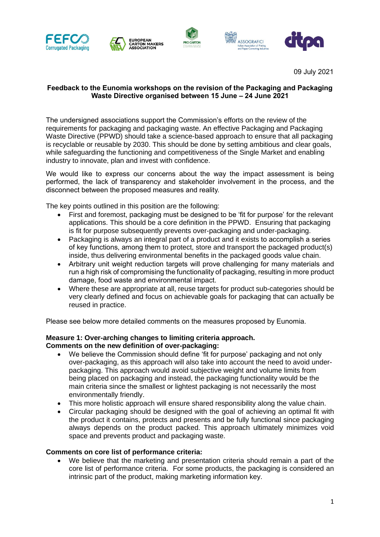









09 July 2021

## **Feedback to the Eunomia workshops on the revision of the Packaging and Packaging Waste Directive organised between 15 June – 24 June 2021**

The undersigned associations support the Commission's efforts on the review of the requirements for packaging and packaging waste. An effective Packaging and Packaging Waste Directive (PPWD) should take a science-based approach to ensure that all packaging is recyclable or reusable by 2030. This should be done by setting ambitious and clear goals, while safeguarding the functioning and competitiveness of the Single Market and enabling industry to innovate, plan and invest with confidence.

We would like to express our concerns about the way the impact assessment is being performed, the lack of transparency and stakeholder involvement in the process, and the disconnect between the proposed measures and reality.

The key points outlined in this position are the following:

- First and foremost, packaging must be designed to be 'fit for purpose' for the relevant applications. This should be a core definition in the PPWD. Ensuring that packaging is fit for purpose subsequently prevents over-packaging and under-packaging.
- Packaging is always an integral part of a product and it exists to accomplish a series of key functions, among them to protect, store and transport the packaged product(s) inside, thus delivering environmental benefits in the packaged goods value chain.
- Arbitrary unit weight reduction targets will prove challenging for many materials and run a high risk of compromising the functionality of packaging, resulting in more product damage, food waste and environmental impact.
- Where these are appropriate at all, reuse targets for product sub-categories should be very clearly defined and focus on achievable goals for packaging that can actually be reused in practice.

Please see below more detailed comments on the measures proposed by Eunomia.

#### **Measure 1: Over-arching changes to limiting criteria approach. Comments on the new definition of over-packaging:**

- We believe the Commission should define 'fit for purpose' packaging and not only over-packaging, as this approach will also take into account the need to avoid underpackaging. This approach would avoid subjective weight and volume limits from being placed on packaging and instead, the packaging functionality would be the main criteria since the smallest or lightest packaging is not necessarily the most environmentally friendly.
- This more holistic approach will ensure shared responsibility along the value chain.
- Circular packaging should be designed with the goal of achieving an optimal fit with the product it contains, protects and presents and be fully functional since packaging always depends on the product packed. This approach ultimately minimizes void space and prevents product and packaging waste.

# **Comments on core list of performance criteria:**

• We believe that the marketing and presentation criteria should remain a part of the core list of performance criteria. For some products, the packaging is considered an intrinsic part of the product, making marketing information key.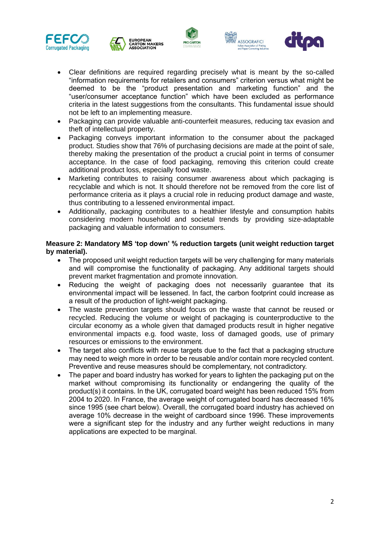









- Clear definitions are required regarding precisely what is meant by the so-called "information requirements for retailers and consumers" criterion versus what might be deemed to be the "product presentation and marketing function" and the "user/consumer acceptance function" which have been excluded as performance criteria in the latest suggestions from the consultants. This fundamental issue should not be left to an implementing measure.
- Packaging can provide valuable anti-counterfeit measures, reducing tax evasion and theft of intellectual property.
- Packaging conveys important information to the consumer about the packaged product. Studies show that 76% of purchasing decisions are made at the point of sale, thereby making the presentation of the product a crucial point in terms of consumer acceptance. In the case of food packaging, removing this criterion could create additional product loss, especially food waste.
- Marketing contributes to raising consumer awareness about which packaging is recyclable and which is not. It should therefore not be removed from the core list of performance criteria as it plays a crucial role in reducing product damage and waste, thus contributing to a lessened environmental impact.
- Additionally, packaging contributes to a healthier lifestyle and consumption habits considering modern household and societal trends by providing size-adaptable packaging and valuable information to consumers.

#### **Measure 2: Mandatory MS 'top down' % reduction targets (unit weight reduction target by material).**

- The proposed unit weight reduction targets will be very challenging for many materials and will compromise the functionality of packaging. Any additional targets should prevent market fragmentation and promote innovation.
- Reducing the weight of packaging does not necessarily guarantee that its environmental impact will be lessened. In fact, the carbon footprint could increase as a result of the production of light-weight packaging.
- The waste prevention targets should focus on the waste that cannot be reused or recycled. Reducing the volume or weight of packaging is counterproductive to the circular economy as a whole given that damaged products result in higher negative environmental impacts e.g. food waste, loss of damaged goods, use of primary resources or emissions to the environment.
- The target also conflicts with reuse targets due to the fact that a packaging structure may need to weigh more in order to be reusable and/or contain more recycled content. Preventive and reuse measures should be complementary, not contradictory.
- The paper and board industry has worked for years to lighten the packaging put on the market without compromising its functionality or endangering the quality of the product(s) it contains. In the UK, corrugated board weight has been reduced 15% from 2004 to 2020. In France, the average weight of corrugated board has decreased 16% since 1995 (see chart below). Overall, the corrugated board industry has achieved on average 10% decrease in the weight of cardboard since 1996. These improvements were a significant step for the industry and any further weight reductions in many applications are expected to be marginal.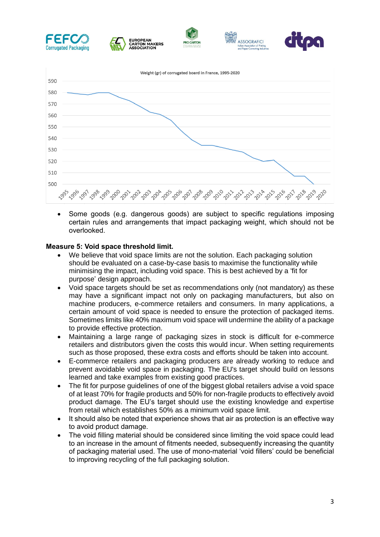

• Some goods (e.g. dangerous goods) are subject to specific regulations imposing certain rules and arrangements that impact packaging weight, which should not be overlooked.

#### **Measure 5: Void space threshold limit.**

- We believe that void space limits are not the solution. Each packaging solution should be evaluated on a case-by-case basis to maximise the functionality while minimising the impact, including void space. This is best achieved by a 'fit for purpose' design approach.
- Void space targets should be set as recommendations only (not mandatory) as these may have a significant impact not only on packaging manufacturers, but also on machine producers, e-commerce retailers and consumers. In many applications, a certain amount of void space is needed to ensure the protection of packaged items. Sometimes limits like 40% maximum void space will undermine the ability of a package to provide effective protection.
- Maintaining a large range of packaging sizes in stock is difficult for e-commerce retailers and distributors given the costs this would incur. When setting requirements such as those proposed, these extra costs and efforts should be taken into account.
- E-commerce retailers and packaging producers are already working to reduce and prevent avoidable void space in packaging. The EU's target should build on lessons learned and take examples from existing good practices.
- The fit for purpose guidelines of one of the biggest global retailers advise a void space of at least 70% for fragile products and 50% for non-fragile products to effectively avoid product damage. The EU's target should use the existing knowledge and expertise from retail which establishes 50% as a minimum void space limit.
- It should also be noted that experience shows that air as protection is an effective way to avoid product damage.
- The void filling material should be considered since limiting the void space could lead to an increase in the amount of fitments needed, subsequently increasing the quantity of packaging material used. The use of mono-material 'void fillers' could be beneficial to improving recycling of the full packaging solution.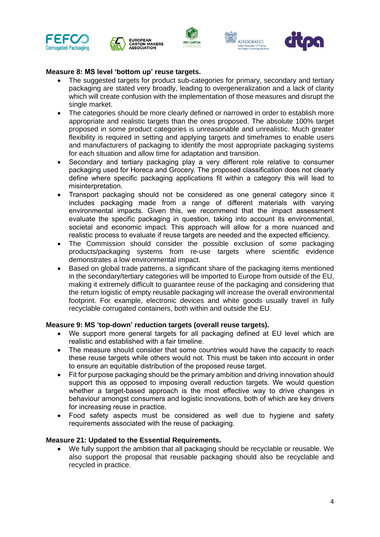









## **Measure 8: MS level 'bottom up' reuse targets.**

- The suggested targets for product sub-categories for primary, secondary and tertiary packaging are stated very broadly, leading to overgeneralization and a lack of clarity which will create confusion with the implementation of those measures and disrupt the single market.
- The categories should be more clearly defined or narrowed in order to establish more appropriate and realistic targets than the ones proposed. The absolute 100% target proposed in some product categories is unreasonable and unrealistic. Much greater flexibility is required in setting and applying targets and timeframes to enable users and manufacturers of packaging to identify the most appropriate packaging systems for each situation and allow time for adaptation and transition.
- Secondary and tertiary packaging play a very different role relative to consumer packaging used for Horeca and Grocery. The proposed classification does not clearly define where specific packaging applications fit within a category this will lead to misinterpretation.
- Transport packaging should not be considered as one general category since it includes packaging made from a range of different materials with varying environmental impacts. Given this, we recommend that the impact assessment evaluate the specific packaging in question, taking into account its environmental, societal and economic impact. This approach will allow for a more nuanced and realistic process to evaluate if reuse targets are needed and the expected efficiency.
- The Commission should consider the possible exclusion of some packaging products/packaging systems from re-use targets where scientific evidence demonstrates a low environmental impact.
- Based on global trade patterns, a significant share of the packaging items mentioned in the secondary/tertiary categories will be imported to Europe from outside of the EU, making it extremely difficult to guarantee reuse of the packaging and considering that the return logistic of empty reusable packaging will increase the overall environmental footprint. For example, electronic devices and white goods usually travel in fully recyclable corrugated containers, both within and outside the EU.

#### **Measure 9: MS 'top-down' reduction targets (overall reuse targets).**

- We support more general targets for all packaging defined at EU level which are realistic and established with a fair timeline.
- The measure should consider that some countries would have the capacity to reach these reuse targets while others would not. This must be taken into account in order to ensure an equitable distribution of the proposed reuse target.
- Fit for purpose packaging should be the primary ambition and driving innovation should support this as opposed to imposing overall reduction targets. We would question whether a target-based approach is the most effective way to drive changes in behaviour amongst consumers and logistic innovations, both of which are key drivers for increasing reuse in practice.
- Food safety aspects must be considered as well due to hygiene and safety requirements associated with the reuse of packaging.

#### **Measure 21: Updated to the Essential Requirements.**

• We fully support the ambition that all packaging should be recyclable or reusable. We also support the proposal that reusable packaging should also be recyclable and recycled in practice.